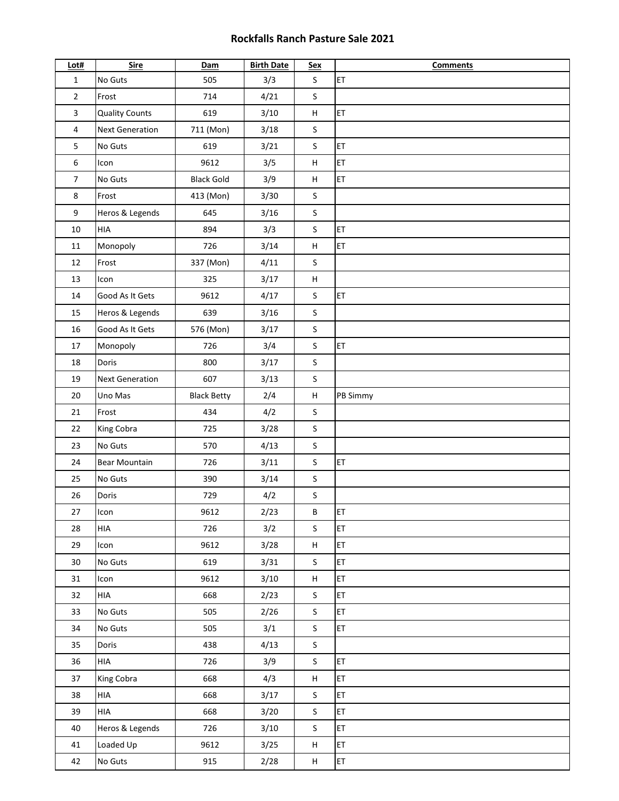## **Rockfalls Ranch Pasture Sale 2021**

| Lot#           | <b>Sire</b>            | Dam                | <b>Birth Date</b> | <b>Sex</b>                | <b>Comments</b> |
|----------------|------------------------|--------------------|-------------------|---------------------------|-----------------|
| $\mathbf{1}$   | No Guts                | 505                | 3/3               | $\mathsf{S}$              | ET              |
| $\overline{2}$ | Frost                  | 714                | 4/21              | $\sf S$                   |                 |
| 3              | <b>Quality Counts</b>  | 619                | 3/10              | $\sf H$                   | ET              |
| 4              | <b>Next Generation</b> | 711 (Mon)          | 3/18              | $\sf S$                   |                 |
| 5              | No Guts                | 619                | 3/21              | $\sf S$                   | ET              |
| 6              | Icon                   | 9612               | 3/5               | н                         | ET              |
| $\overline{7}$ | No Guts                | <b>Black Gold</b>  | 3/9               | $\boldsymbol{\mathsf{H}}$ | ET              |
| 8              | Frost                  | 413 (Mon)          | 3/30              | $\sf S$                   |                 |
| 9              | Heros & Legends        | 645                | 3/16              | $\sf S$                   |                 |
| 10             | <b>HIA</b>             | 894                | 3/3               | $\sf S$                   | ET              |
| 11             | Monopoly               | 726                | 3/14              | $\sf H$                   | ET              |
| 12             | Frost                  | 337 (Mon)          | 4/11              | $\mathsf S$               |                 |
| 13             | Icon                   | 325                | 3/17              | н                         |                 |
| 14             | Good As It Gets        | 9612               | 4/17              | $\mathsf S$               | ET              |
| 15             | Heros & Legends        | 639                | 3/16              | $\sf S$                   |                 |
| 16             | Good As It Gets        | 576 (Mon)          | 3/17              | $\mathsf S$               |                 |
| $17\,$         | Monopoly               | 726                | 3/4               | $\sf S$                   | ET              |
| 18             | Doris                  | 800                | 3/17              | $\sf S$                   |                 |
| 19             | <b>Next Generation</b> | 607                | 3/13              | $\sf S$                   |                 |
| 20             | Uno Mas                | <b>Black Betty</b> | 2/4               | $\sf H$                   | PB Simmy        |
| 21             | Frost                  | 434                | 4/2               | $\sf S$                   |                 |
| 22             | King Cobra             | 725                | 3/28              | $\sf S$                   |                 |
| 23             | No Guts                | 570                | 4/13              | $\sf S$                   |                 |
| 24             | <b>Bear Mountain</b>   | 726                | 3/11              | $\mathsf{S}$              | ET              |
| 25             | No Guts                | 390                | 3/14              | $\sf S$                   |                 |
| 26             | Doris                  | 729                | 4/2               | $\sf S$                   |                 |
| $27\,$         | Icon                   | 9612               | 2/23              | B                         | ET              |
| 28             | HIA                    | 726                | 3/2               | $\mathsf{S}$              | ET              |
| 29             | Icon                   | 9612               | 3/28              | $\sf H$                   | ET              |
| 30             | No Guts                | 619                | 3/31              | $\sf S$                   | ET              |
| 31             | Icon                   | 9612               | 3/10              | $\sf H$                   | ET              |
| 32             | HIA                    | 668                | 2/23              | $\sf S$                   | ET              |
| 33             | No Guts                | 505                | 2/26              | S                         | <b>ET</b>       |
| 34             | No Guts                | 505                | 3/1               | $\sf S$                   | ET              |
| 35             | Doris                  | 438                | 4/13              | $\mathsf{S}$              |                 |
| 36             | HIA                    | 726                | 3/9               | S                         | ET.             |
| 37             | King Cobra             | 668                | 4/3               | Н                         | <b>ET</b>       |
| 38             | HIA                    | 668                | 3/17              | $\sf S$                   | ET              |
| 39             | HIA                    | 668                | 3/20              | $\sf S$                   | ET              |
| 40             | Heros & Legends        | 726                | 3/10              | $\sf S$                   | ET              |
| 41             | Loaded Up              | 9612               | 3/25              | H                         | ET              |
| 42             | No Guts                | 915                | 2/28              | H                         | ET.             |